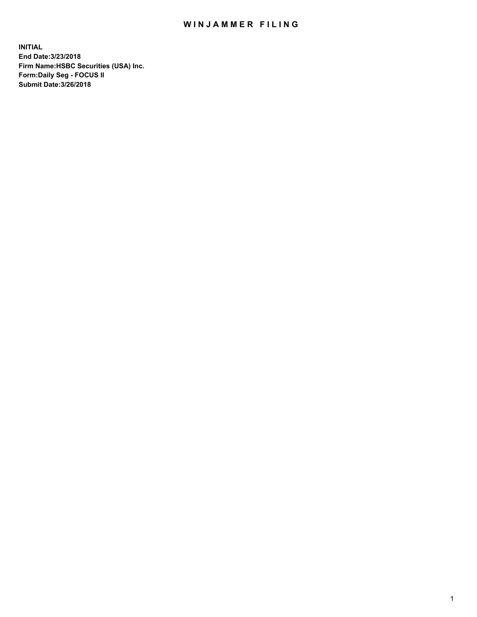## WIN JAMMER FILING

**INITIAL End Date:3/23/2018 Firm Name:HSBC Securities (USA) Inc. Form:Daily Seg - FOCUS II Submit Date:3/26/2018**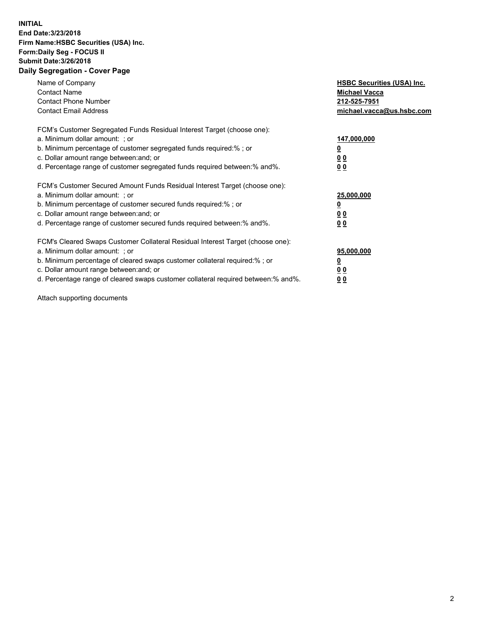## **INITIAL End Date:3/23/2018 Firm Name:HSBC Securities (USA) Inc. Form:Daily Seg - FOCUS II Submit Date:3/26/2018 Daily Segregation - Cover Page**

| Name of Company<br><b>Contact Name</b><br><b>Contact Phone Number</b><br><b>Contact Email Address</b>                                                                                                                                                                                                                         | <b>HSBC Securities (USA) Inc.</b><br><b>Michael Vacca</b><br>212-525-7951<br>michael.vacca@us.hsbc.com |
|-------------------------------------------------------------------------------------------------------------------------------------------------------------------------------------------------------------------------------------------------------------------------------------------------------------------------------|--------------------------------------------------------------------------------------------------------|
| FCM's Customer Segregated Funds Residual Interest Target (choose one):<br>a. Minimum dollar amount: ; or<br>b. Minimum percentage of customer segregated funds required:%; or<br>c. Dollar amount range between: and; or<br>d. Percentage range of customer segregated funds required between: % and %.                       | 147,000,000<br><u>0</u><br><u>00</u><br><u>00</u>                                                      |
| FCM's Customer Secured Amount Funds Residual Interest Target (choose one):<br>a. Minimum dollar amount: ; or<br>b. Minimum percentage of customer secured funds required:%; or<br>c. Dollar amount range between: and; or<br>d. Percentage range of customer secured funds required between: % and %.                         | 25,000,000<br><u>0</u><br><u>00</u><br>00                                                              |
| FCM's Cleared Swaps Customer Collateral Residual Interest Target (choose one):<br>a. Minimum dollar amount: ; or<br>b. Minimum percentage of cleared swaps customer collateral required:%; or<br>c. Dollar amount range between: and; or<br>d. Percentage range of cleared swaps customer collateral required between:% and%. | 95,000,000<br><u>0</u><br><u>00</u><br><u>00</u>                                                       |

Attach supporting documents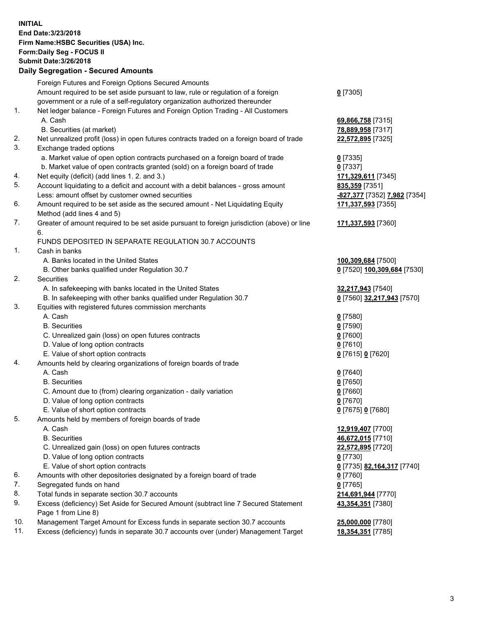**INITIAL End Date:3/23/2018 Firm Name:HSBC Securities (USA) Inc. Form:Daily Seg - FOCUS II Submit Date:3/26/2018 Daily Segregation - Secured Amounts**

Foreign Futures and Foreign Options Secured Amounts Amount required to be set aside pursuant to law, rule or regulation of a foreign government or a rule of a self-regulatory organization authorized thereunder **0** [7305] 1. Net ledger balance - Foreign Futures and Foreign Option Trading - All Customers A. Cash **69,866,758** [7315] B. Securities (at market) **78,889,958** [7317] 2. Net unrealized profit (loss) in open futures contracts traded on a foreign board of trade **22,572,895** [7325] 3. Exchange traded options a. Market value of open option contracts purchased on a foreign board of trade **0** [7335] b. Market value of open contracts granted (sold) on a foreign board of trade **0** [7337] 4. Net equity (deficit) (add lines 1. 2. and 3.) **171,329,611** [7345] 5. Account liquidating to a deficit and account with a debit balances - gross amount **835,359** [7351] Less: amount offset by customer owned securities **-827,377** [7352] **7,982** [7354] 6. Amount required to be set aside as the secured amount - Net Liquidating Equity Method (add lines 4 and 5) **171,337,593** [7355] 7. Greater of amount required to be set aside pursuant to foreign jurisdiction (above) or line 6. **171,337,593** [7360] FUNDS DEPOSITED IN SEPARATE REGULATION 30.7 ACCOUNTS 1. Cash in banks A. Banks located in the United States **100,309,684** [7500] B. Other banks qualified under Regulation 30.7 **0** [7520] **100,309,684** [7530] 2. Securities A. In safekeeping with banks located in the United States **32,217,943** [7540] B. In safekeeping with other banks qualified under Regulation 30.7 **0** [7560] **32,217,943** [7570] 3. Equities with registered futures commission merchants A. Cash **0** [7580] B. Securities **0** [7590] C. Unrealized gain (loss) on open futures contracts **0** [7600] D. Value of long option contracts **0** [7610] E. Value of short option contracts **0** [7615] **0** [7620] 4. Amounts held by clearing organizations of foreign boards of trade A. Cash **0** [7640] B. Securities **0** [7650] C. Amount due to (from) clearing organization - daily variation **0** [7660] D. Value of long option contracts **0** [7670] E. Value of short option contracts **0** [7675] **0** [7680] 5. Amounts held by members of foreign boards of trade A. Cash **12,919,407** [7700] B. Securities **46,672,015** [7710] C. Unrealized gain (loss) on open futures contracts **22,572,895** [7720] D. Value of long option contracts **0** [7730] E. Value of short option contracts **0** [7735] **82,164,317** [7740] 6. Amounts with other depositories designated by a foreign board of trade **0** [7760] 7. Segregated funds on hand **0** [7765] 8. Total funds in separate section 30.7 accounts **214,691,944** [7770] 9. Excess (deficiency) Set Aside for Secured Amount (subtract line 7 Secured Statement Page 1 from Line 8) **43,354,351** [7380] 10. Management Target Amount for Excess funds in separate section 30.7 accounts **25,000,000** [7780] 11. Excess (deficiency) funds in separate 30.7 accounts over (under) Management Target **18,354,351** [7785]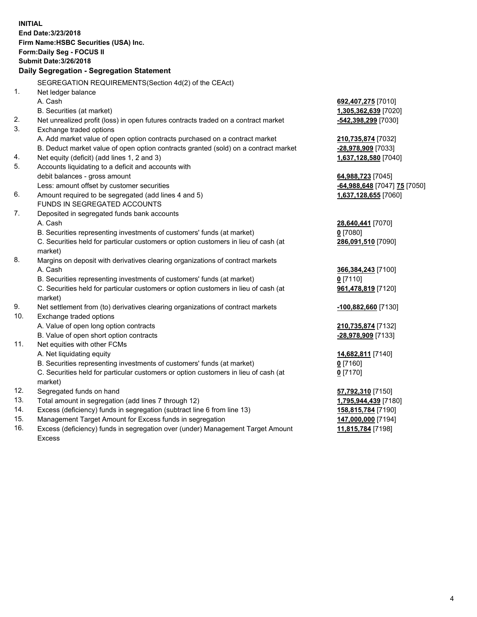**INITIAL End Date:3/23/2018 Firm Name:HSBC Securities (USA) Inc. Form:Daily Seg - FOCUS II Submit Date:3/26/2018 Daily Segregation - Segregation Statement** SEGREGATION REQUIREMENTS(Section 4d(2) of the CEAct) 1. Net ledger balance A. Cash **692,407,275** [7010] B. Securities (at market) **1,305,362,639** [7020] 2. Net unrealized profit (loss) in open futures contracts traded on a contract market **-542,398,299** [7030] 3. Exchange traded options A. Add market value of open option contracts purchased on a contract market **210,735,874** [7032] B. Deduct market value of open option contracts granted (sold) on a contract market **-28,978,909** [7033] 4. Net equity (deficit) (add lines 1, 2 and 3) **1,637,128,580** [7040] 5. Accounts liquidating to a deficit and accounts with debit balances - gross amount **64,988,723** [7045] Less: amount offset by customer securities **-64,988,648** [7047] **75** [7050] 6. Amount required to be segregated (add lines 4 and 5) **1,637,128,655** [7060] FUNDS IN SEGREGATED ACCOUNTS 7. Deposited in segregated funds bank accounts A. Cash **28,640,441** [7070] B. Securities representing investments of customers' funds (at market) **0** [7080] C. Securities held for particular customers or option customers in lieu of cash (at market) **286,091,510** [7090] 8. Margins on deposit with derivatives clearing organizations of contract markets A. Cash **366,384,243** [7100] B. Securities representing investments of customers' funds (at market) **0** [7110] C. Securities held for particular customers or option customers in lieu of cash (at market) **961,478,819** [7120] 9. Net settlement from (to) derivatives clearing organizations of contract markets **-100,882,660** [7130] 10. Exchange traded options A. Value of open long option contracts **210,735,874** [7132] B. Value of open short option contracts **-28,978,909** [7133] 11. Net equities with other FCMs A. Net liquidating equity **14,682,811** [7140] B. Securities representing investments of customers' funds (at market) **0** [7160] C. Securities held for particular customers or option customers in lieu of cash (at market) **0** [7170] 12. Segregated funds on hand **57,792,310** [7150] 13. Total amount in segregation (add lines 7 through 12) **1,795,944,439** [7180] 14. Excess (deficiency) funds in segregation (subtract line 6 from line 13) **158,815,784** [7190] 15. Management Target Amount for Excess funds in segregation **147,000,000** [7194]

16. Excess (deficiency) funds in segregation over (under) Management Target Amount Excess

**11,815,784** [7198]